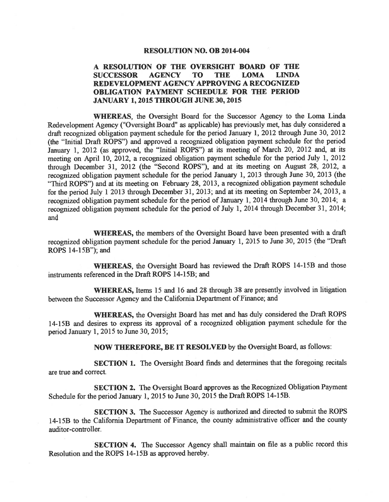### **RESOLUTION NO. OB 2014-004**

#### A RESOLUTION OF THE OVERSIGHT BOARD OF THE **SUCCESSOR AGENCY TO LOMA LINDA THE** REDEVELOPMENT AGENCY APPROVING A RECOGNIZED **OBLIGATION PAYMENT SCHEDULE FOR THE PERIOD JANUARY 1, 2015 THROUGH JUNE 30, 2015**

WHEREAS, the Oversight Board for the Successor Agency to the Loma Linda Redevelopment Agency ("Oversight Board" as applicable) has previously met, has duly considered a draft recognized obligation payment schedule for the period January 1, 2012 through June 30, 2012 (the "Initial Draft ROPS") and approved a recognized obligation payment schedule for the period January 1, 2012 (as approved, the "Initial ROPS") at its meeting of March 20, 2012 and, at its meeting on April 10, 2012, a recognized obligation payment schedule for the period July 1, 2012 through December 31, 2012 (the "Second ROPS"), and at its meeting on August 28, 2012, a recognized obligation payment schedule for the period January 1, 2013 through June 30, 2013 (the "Third ROPS") and at its meeting on February 28, 2013, a recognized obligation payment schedule for the period July 1 2013 through December 31, 2013; and at its meeting on September 24, 2013, a recognized obligation payment schedule for the period of January 1, 2014 through June 30, 2014; a recognized obligation payment schedule for the period of July 1, 2014 through December 31, 2014; and

WHEREAS, the members of the Oversight Board have been presented with a draft recognized obligation payment schedule for the period January 1, 2015 to June 30, 2015 (the "Draft ROPS 14-15B"); and

WHEREAS, the Oversight Board has reviewed the Draft ROPS 14-15B and those instruments referenced in the Draft ROPS 14-15B; and

WHEREAS, Items 15 and 16 and 28 through 38 are presently involved in litigation between the Successor Agency and the California Department of Finance; and

**WHEREAS,** the Oversight Board has met and has duly considered the Draft ROPS 14-15B and desires to express its approval of a recognized obligation payment schedule for the period January 1, 2015 to June 30, 2015;

**NOW THEREFORE, BE IT RESOLVED** by the Oversight Board, as follows:

**SECTION 1.** The Oversight Board finds and determines that the foregoing recitals are true and correct.

SECTION 2. The Oversight Board approves as the Recognized Obligation Payment Schedule for the period January 1, 2015 to June 30, 2015 the Draft ROPS 14-15B.

**SECTION 3.** The Successor Agency is authorized and directed to submit the ROPS 14-15B to the California Department of Finance, the county administrative officer and the county auditor-controller.

SECTION 4. The Successor Agency shall maintain on file as a public record this Resolution and the ROPS 14-15B as approved hereby.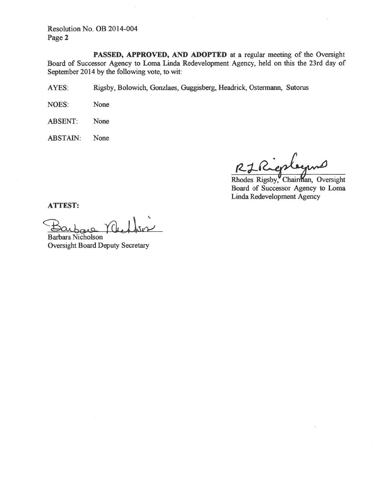Resolution No. OB 2014-004 Page 2

PASSED, APPROVED, AND ADOPTED at a regular meeting of the Oversight Board of Successor Agency to Loma Linda Redevelopment Agency, held on this the 23rd day of September 2014 by the following vote, to wit:

Rigsby, Bolowich, Gonzlaes, Guggisberg, Headrick, Ostermann, Sutorus AYES:

NOES: None

**ABSENT:** None

**ABSTAIN:** None

 $R$ 

Rhodes Rigsby, Chairman, Oversight Board of Successor Agency to Loma Linda Redevelopment Agency

**ATTEST:** 

**Barbara Nicholson Oversight Board Deputy Secretary**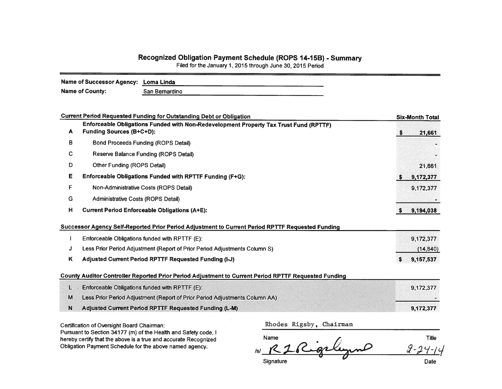# Recognized Obligation Payment Schedule (ROPS 14-15B) - Summary

Filed for the January 1, 2015 through June 30, 2015 Period

| Name of Successor Agency: Loma Linda |                |  |
|--------------------------------------|----------------|--|
| <b>Name of County:</b>               | San Bernardino |  |

|   | <b>Current Period Requested Funding for Outstanding Debt or Obligation</b>                                               | <b>Six-Month Total</b> |
|---|--------------------------------------------------------------------------------------------------------------------------|------------------------|
| A | Enforceable Obligations Funded with Non-Redevelopment Property Tax Trust Fund (RPTTF)<br><b>Funding Sources (B+C+D):</b> | 21,661                 |
| в | <b>Bond Proceeds Funding (ROPS Detail)</b>                                                                               |                        |
| С | Reserve Balance Funding (ROPS Detail)                                                                                    |                        |
| Ð | Other Funding (ROPS Detail)                                                                                              | 21,661                 |
| Е | Enforceable Obligations Funded with RPTTF Funding (F+G):                                                                 | 9,172,377              |
| F | Non-Administrative Costs (ROPS Detail)                                                                                   | 9,172,377              |
| G | Administrative Costs (ROPS Detail)                                                                                       |                        |
| н | <b>Current Period Enforceable Obligations (A+E):</b>                                                                     | 9,194,038              |
|   | Successor Agency Self-Reported Prior Period Adjustment to Current Period RPTTF Requested Funding                         |                        |
|   | Enforceable Obligations funded with RPTTF (E):                                                                           | 9,172,377              |
| J | Less Prior Period Adjustment (Report of Prior Period Adjustments Column S)                                               | (14, 840)              |
| K | Adjusted Current Period RPTTF Requested Funding (I-J)                                                                    | 9,157,537<br>S.        |
|   | County Auditor Controller Reported Prior Period Adjustment to Current Period RPTTF Requested Funding                     |                        |
| L | Enforceable Obligations funded with RPTTF (E):                                                                           | 9,172,377              |
| M | Less Prior Period Adjustment (Report of Prior Period Adjustments Column AA)                                              |                        |
| N | Adjusted Current Period RPTTF Requested Funding (L-M)                                                                    | 9,172,377              |

Certification of Oversight Board Chairman:

Pursuant to Section 34177 (m) of the Health and Safety code, I hereby certify that the above is a true and accurate Recognized Obligation Payment Schedule for the above named agency.

Title Name  $2 - 24 - 14$  $R<sub>2</sub>$  $/s/$ Signature Date

Rhodes Rigsby, Chairman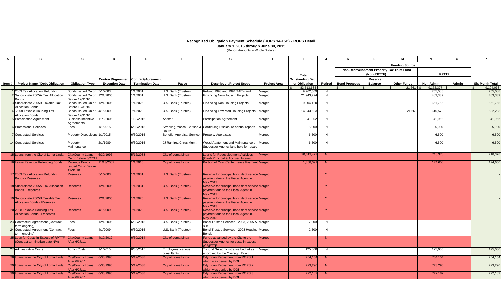|              |                                                                         |                                                                |                       |                                                                  |                                   | Recognized Obligation Payment Schedule (ROPS 14-15B) - ROPS Detail<br>January 1, 2015 through June 30, 2015<br>(Report Amounts in Whole Dollars) |                     |                                          |              |                      |                           |                                           |              |              |                        |
|--------------|-------------------------------------------------------------------------|----------------------------------------------------------------|-----------------------|------------------------------------------------------------------|-----------------------------------|--------------------------------------------------------------------------------------------------------------------------------------------------|---------------------|------------------------------------------|--------------|----------------------|---------------------------|-------------------------------------------|--------------|--------------|------------------------|
| $\mathbf{A}$ | B                                                                       | C                                                              | D                     | E.                                                               | F                                 | G                                                                                                                                                | H                   | $\blacksquare$                           | $\mathsf{J}$ | K                    | L                         | м                                         | N            | $\mathbf{o}$ | P.                     |
|              |                                                                         |                                                                |                       |                                                                  |                                   |                                                                                                                                                  |                     | <b>Total</b>                             |              |                      |                           | <b>Funding Source</b>                     |              |              |                        |
|              |                                                                         |                                                                |                       |                                                                  |                                   |                                                                                                                                                  |                     |                                          |              |                      | (Non-RPTTF)               | Non-Redevelopment Property Tax Trust Fund | <b>RPTTF</b> |              |                        |
| Item#        | <b>Project Name / Debt Obligation</b>                                   | <b>Obligation Type</b>                                         | <b>Execution Date</b> | Contract/Agreement Contract/Agreement<br><b>Termination Date</b> | Payee                             | <b>Description/Project Scope</b>                                                                                                                 | <b>Project Area</b> | <b>Outstanding Debt</b><br>or Obligation | Retired      | <b>Bond Proceeds</b> | Reserve<br><b>Balance</b> | <b>Other Funds</b>                        | Non-Admin    | Admin        | <b>Six-Month Total</b> |
|              |                                                                         |                                                                |                       |                                                                  |                                   |                                                                                                                                                  |                     | 83,513,684                               |              |                      |                           | 21,661                                    | 9,172,377    |              | 9,194,038              |
|              | 1 2003 Tax Allocation Refunding                                         | Bonds Issued On or 5/1/2003                                    |                       | 1/1/2031                                                         | U.S. Bank (Trustee)               | Refund 1993 and 1994 TAB's and                                                                                                                   | Merged              | 9,962,569                                | N            |                      |                           |                                           | 755,088      |              | 755,088                |
|              | 2 Subordinate 2005A Tax Allocation<br><b>Bonds</b>                      | Bonds Issued On or<br>Before 12/31/10                          | 12/1/2005             | 1/1/2031                                                         | U.S. Bank (Trustee)               | Financing Non-Housing Projects                                                                                                                   | Merged              | 21,943,794                               | N            |                      |                           |                                           | 483.339      |              | 483,339                |
|              | Subordinate 2005B Taxable Tax<br><b>Allocation Bonds</b>                | Bonds Issued On or<br>Before 12/31/10                          | 12/1/2005             | 1/1/2026                                                         | U.S. Bank (Trustee)               | <b>Financing Non-Housing Projects</b>                                                                                                            | Merged              | 9,204,120                                | N            |                      |                           |                                           | 661,755      |              | 661,755                |
|              | 4 2008 Taxable Housing Tax<br><b>Allocation Bonds</b>                   | Bonds Issued On or 4/1/2009<br>Before 12/31/10                 |                       | 7/1/2029                                                         | U.S. Bank (Trustee)               | Financing Low-Mod Housing Projects                                                                                                               | Merged              | 14,343,593                               | N            |                      |                           | 21,661                                    | 610,572      |              | 632,233                |
|              | <b>5</b> Participation Agreement                                        | <b>Business Incentive</b><br>Agreements                        | 11/3/2006             | 11/3/2016                                                        | Anixter                           | <b>Participation Agreement</b>                                                                                                                   | Merged              | 41,952                                   | N            |                      |                           |                                           | 41,952       |              | 41,952                 |
|              | <b>6</b> Professional Services                                          | Fees                                                           | 1/1/2015              | 6/30/2015                                                        | Rauth                             | Stradling, Yocca, Carlson & Continuing Disclosure annual reports                                                                                 | Merged              | 5,000                                    | N            |                      |                           |                                           | 5,000        |              | 5,000                  |
|              | <b>7</b> Contractual Services                                           | Property Dispositions 1/1/2015                                 |                       | 6/30/2015                                                        | <b>Benefiel Appraisal Service</b> | <b>Property Appraisals</b>                                                                                                                       | Merged              | 6,500                                    | N            |                      |                           |                                           | 6,500        |              | 6,500                  |
|              | 14 Contractual Services                                                 | Property<br>Maintenance                                        | 2/1/1989              | 6/30/2015                                                        | JJ Ramirez Citrus Mgmt            | Weed Abatement and Maintenance of Merged<br>Successor Agency land held for resale                                                                |                     | 6,500                                    | N            |                      |                           |                                           | 6,500        |              | 6,500                  |
|              | 15 Loans from the City of Loma Linda                                    | <b>City/County Loans</b><br>On or Before 6/27/1                | 6/30/1996             | 5/12/2038                                                        | City of Loma Linda                | <b>Loans for Redevelopment Activities</b><br><b>Cash Principal &amp; Accrued Interest)</b>                                                       | Merged              | 20,313,422                               | N            |                      |                           |                                           | 718,378      |              | 718,378                |
|              | 16 Lease Revenue Refunding Bonds                                        | <b>Revenue Bonds</b><br><b>Issued On or Before</b><br>12/31/10 | 1/13/2002             | 1/1/2016                                                         | City of Loma Linda                | Portion of Civic Center Lease Payment Merged                                                                                                     |                     | 1,368,091                                | N            |                      |                           |                                           | 174,650      |              | 174,650                |
|              | 17 2003 Tax Allocation Refunding<br><b>Bonds - Reserves</b>             | <b>Reserves</b>                                                | 5/1/2003              | 1/1/2031                                                         | U.S. Bank (Trustee)               | Reserve for principal bond debt service Merged<br>payment due to the Fiscal Agent in<br><b>May 2013</b>                                          |                     |                                          |              |                      |                           |                                           |              |              |                        |
|              | 18 Subordinate 2005A Tax Allocation<br><b>Bonds - Reserves</b>          | <b>Reserves</b>                                                | 12/1/2005             | 1/1/2031                                                         | U.S. Bank (Trustee)               | Reserve for principal bond debt service Merged<br>payment due to the Fiscal Agent in<br><b>May 2013</b>                                          |                     |                                          |              |                      |                           |                                           |              |              |                        |
|              | 19 Subordinate 2005B Taxable Tax<br><b>Allocation Bonds - Reserves</b>  | <b>Reserves</b>                                                | 12/1/2005             | 1/1/2026                                                         | U.S. Bank (Trustee)               | Reserve for principal bond debt service Merged<br>payment due to the Fiscal Agent in<br><b>May 2013</b>                                          |                     |                                          | Y            |                      |                           |                                           |              |              |                        |
|              | 20 2008 Taxable Housing Tax<br><b>Allocation Bonds - Reserves</b>       | <b>Reserves</b>                                                | 4/1/2009              | 7/1/2029                                                         | U.S. Bank (Trustee)               | Reserve for principal bond debt service Merged<br>payment due to the Fiscal Agent in<br><b>May 2013</b>                                          |                     |                                          | <b>Y</b>     |                      |                           |                                           |              |              |                        |
|              | 23 Contractual Agreement (Contract<br>term ongoing)                     | Fees                                                           | 12/1/2005             | 6/30/2015                                                        | U.S. Bank (Trustee)               | Bond Trustee Services - 2003, 2005 A Merged<br>& B                                                                                               |                     | 7,000                                    | N            |                      |                           |                                           |              |              |                        |
|              | 24 Contractual Agreement (Contract<br>term ongoing)                     | Fees                                                           | 4/1/2009              | 6/30/2015                                                        | U.S. Bank (Trustee)               | Bond Trustee Services - 2008 Housing Merged<br><b>Bonds</b>                                                                                      |                     | 2,500                                    | N            |                      |                           |                                           |              |              |                        |
|              | 25 Loan for Costs in Excess of RPTTF<br>(Contract termination date N/A) | City/County Loans<br>After 6/27/11                             | 4/10/2012             | 6/30/2014                                                        | City of Loma Linda                | Funds advanced by the City to the<br>Successor Agency for costs in excess<br>of RPTTF                                                            | Merged              |                                          | N            |                      |                           |                                           |              |              |                        |
|              | 27 Adminstrative Costs                                                  | Admin Costs                                                    | /1/2015               | 6/30/2015                                                        | Employees, various<br>consultants | To fund SA administrative budget as<br>approved by the Oversight Board                                                                           | Merged              | 125,000                                  | N            |                      |                           |                                           | 125,000      |              | 125,000                |
|              | 28 Loans from the City of Loma Linda                                    | <b>City/County Loans</b><br>After 6/27/11                      | 6/30/1996             | 5/12/2038                                                        | City of Loma Linda                | City Loan Repayment from ROPS 1<br>which was denied by DOF                                                                                       |                     | 754,154                                  | N            |                      |                           |                                           | 754,154      |              | 754,154                |
|              | 29 Loans from the City of Loma Linda                                    | <b>City/County Loans</b><br>After 6/27/11                      | 6/30/1996             | 5/12/2038                                                        | City of Loma Linda                | City Loan Repayment from ROPS 2<br>which was denied by DOF                                                                                       |                     | 723,290                                  | N            |                      |                           |                                           | 723,290      |              | 723,290                |
|              | 30 Loans from the City of Loma Linda                                    | City/County Loans 6/30/1996<br>After 6/27/11                   |                       | 5/12/2038                                                        | City of Loma Linda                | City Loan Repayment from ROPS 3<br>which was denied by DOF                                                                                       |                     | 722,182                                  | N            |                      |                           |                                           | 722,182      |              | 722,182                |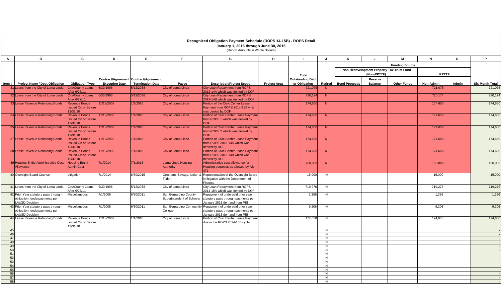|              |                                                                      |                                                                |                       |                                                                  |                                                    | Recognized Obligation Payment Schedule (ROPS 14-15B) - ROPS Detail<br>January 1, 2015 through June 30, 2015  |                     |                                          |                     |                      |                           |                                           |              |       |                        |
|--------------|----------------------------------------------------------------------|----------------------------------------------------------------|-----------------------|------------------------------------------------------------------|----------------------------------------------------|--------------------------------------------------------------------------------------------------------------|---------------------|------------------------------------------|---------------------|----------------------|---------------------------|-------------------------------------------|--------------|-------|------------------------|
|              |                                                                      |                                                                |                       |                                                                  |                                                    | (Report Amounts in Whole Dollars)                                                                            |                     |                                          |                     |                      |                           |                                           |              |       |                        |
| $\mathbf{A}$ | B                                                                    | C                                                              | D                     | E.                                                               | F.                                                 | G                                                                                                            | H                   | $\mathbf{L}$                             | J                   | K                    | $\mathbf{L}$              | M                                         | N            | o     | P.                     |
|              |                                                                      |                                                                |                       |                                                                  |                                                    |                                                                                                              |                     |                                          |                     |                      |                           | <b>Funding Source</b>                     |              |       |                        |
|              |                                                                      |                                                                |                       |                                                                  |                                                    |                                                                                                              |                     |                                          |                     |                      |                           | Non-Redevelopment Property Tax Trust Fund |              |       | <b>Six-Month Total</b> |
|              |                                                                      |                                                                |                       |                                                                  |                                                    | <b>Description/Project Scope</b>                                                                             |                     | <b>Total</b>                             |                     |                      | (Non-RPTTF)               |                                           | <b>RPTTF</b> |       |                        |
|              | Item # Project Name / Debt Obligation                                | <b>Obligation Type</b>                                         | <b>Execution Date</b> | Contract/Agreement Contract/Agreement<br><b>Termination Date</b> | Payee                                              |                                                                                                              | <b>Project Area</b> | <b>Outstanding Debt</b><br>or Obligation | Retired             | <b>Bond Proceeds</b> | Reserve<br><b>Balance</b> | <b>Other Funds</b>                        | Non-Admin    | Admin |                        |
|              | 31 Loans from the City of Loma Linda                                 | City/County Loans                                              | 6/30/1996             | 5/12/2038                                                        | City of Loma Linda                                 | <b>City Loan Repayment from ROPS</b>                                                                         |                     | 721,07                                   | N                   |                      |                           |                                           | 721,075      |       | 721,075                |
|              | 32 Loans from the City of Loma Linda                                 | After 6/27/11<br><b>City/County Loans</b><br>After 6/27/11     | 6/30/1996             | 5/12/2038                                                        | City of Loma Linda                                 | 2013-14A which was denied by DOF<br><b>City Loan Repayment from ROPS</b><br>2013-14B which was denied by DOF |                     | 720,174                                  | N                   |                      |                           |                                           | 720,174      |       | 720,174                |
|              | 33 Lease Revenue Refunding Bonds                                     | <b>Revenue Bonds</b>                                           | 1/13/2002             | 1/1/2016                                                         | City of Loma Linda                                 | Portion of the Civic Center Lease                                                                            |                     | 174,650                                  | N                   |                      |                           |                                           | 174,650      |       | 174,650                |
|              |                                                                      | <b>Issued On or Before</b><br>2/31/10                          |                       |                                                                  |                                                    | Payment from ROPS 2014-15A which<br>was denied by DOF                                                        |                     |                                          |                     |                      |                           |                                           |              |       |                        |
|              | 34 Lease Revenue Refunding Bonds                                     | <b>Revenue Bonds</b><br><b>Issued On or Before</b>             | 1/13/2002             | 1/1/2016                                                         | City of Loma Linda                                 | Portion of Civic Center Lease Paymer<br>from ROPS 1 which was denied by                                      |                     | 174,650                                  | N                   |                      |                           |                                           | 174,650      |       | 174,650                |
|              | 35 Lease Revenue Refunding Bonds                                     | 12/31/10<br><b>Revenue Bonds</b>                               | 11/13/2002            | 1/1/2016                                                         | City of Loma Linda                                 | DOF:<br>Portion of Civic Center Lease Paymer                                                                 |                     | 174,650                                  | N                   |                      |                           |                                           | 174.650      |       | 174,650                |
|              |                                                                      | <b>Issued On or Before</b><br>2/31/10                          |                       |                                                                  |                                                    | from ROPS 2 which was denied by<br>DOF                                                                       |                     |                                          |                     |                      |                           |                                           |              |       |                        |
|              | 37 Lease Revenue Refunding Bonds                                     | <b>Revenue Bonds</b><br><b>Issued On or Before</b><br>12/31/10 | 11/13/2002            | 1/1/2016                                                         | City of Loma Linda                                 | Portion of Civic Center Lease Paymer<br>from ROPS 2013-14A which was<br>denied by DOF                        |                     | 174,650                                  | N                   |                      |                           |                                           | 174,650      |       | 174,650                |
|              | 38 Lease Revenue Refunding Bonds                                     | <b>Revenue Bonds</b><br><b>Issued On or Before</b><br>2/31/10  | 1/13/2002             | 1/1/2016                                                         | City of Loma Linda                                 | <b>Portion of Civic Center Lease Paymer</b><br>from ROPS 2013-14B which was<br>denied by DOF                 |                     | 174,650                                  | N                   |                      |                           |                                           | 174,650      |       | 174,650                |
|              | 39 Housing Entity Administrative Cost<br>Allowance                   | <b>Housing Entity</b><br><b>Admin Cost</b>                     | 7/1/2014              | 7/1/2018                                                         | Loma Linda Housing<br>Authority                    | Administrative cost allowance for<br>Housing purposes as allowed by AB<br>471                                |                     | 750,000                                  | N                   |                      |                           |                                           | 150,000      |       | 150,000                |
|              | 40 Oversight Board Counsel                                           | Litigation                                                     | 7/1/2014              | 6/30/2015                                                        | Tilden                                             | Gresham, Savage, Nolan & Representation of the Oversight Board<br>in litigation with the Department of       |                     | 15,000                                   | N                   |                      |                           |                                           | 15,000       |       | 15,000                 |
|              | 41 Loans from the City of Loma Linda                                 | City/County Loans<br>After 6/27/11                             | 6/30/1996             | 5/12/2038                                                        | City of Loma Linda                                 | Finance<br>City Loan Repayment from ROPS<br>2014-15A which was denied by DOF                                 |                     | 719,276                                  | N                   |                      |                           |                                           | 719,276      |       | 719,276                |
|              | 42 Prior Year statutory pass through<br>obligation underpayments per | Miscellaneous                                                  | 7/1/2008              | 6/30/2011                                                        | San Bernardino County<br>Superintendent of Schools | Repayment of underpaid prior year<br>statutory pass through payments per                                     |                     | 1,386                                    | N                   |                      |                           |                                           | 1,386        |       | 1,386                  |
|              | LAUSD Decision<br>43 Prior Year statutory pass through               | Miscellaneous                                                  | 7/1/2008              | 6/30/2011                                                        |                                                    | January 2013 demand from PEI<br>San Bernardino Community Repayment of underpaid prior year                   |                     | 9,206                                    | N                   |                      |                           |                                           | 9,206        |       | 9,206                  |
|              | obligation underpayments per<br>LAUSD Decision                       |                                                                |                       |                                                                  | College                                            | statutory pass through payments per<br>January 2013 demand from PEI                                          |                     |                                          |                     |                      |                           |                                           |              |       |                        |
|              | 44 Lease Revenue Refunding Bonds                                     | Revenue Bonds<br>Issued On or Before<br>12/31/10               | 1/13/2002             | 1/1/2016                                                         | City of Loma Linda                                 | Portion of Civic Center Lease Paymen<br>due in the ROPS 2014-15B cycle                                       |                     | 174,650                                  | N                   |                      |                           |                                           | 174,650      |       | 174,650                |
| 45           |                                                                      |                                                                |                       |                                                                  |                                                    |                                                                                                              |                     |                                          | N                   |                      |                           |                                           |              |       |                        |
| 46<br>47     |                                                                      |                                                                |                       |                                                                  |                                                    |                                                                                                              |                     |                                          | N                   |                      |                           |                                           |              |       |                        |
| 48           |                                                                      |                                                                |                       |                                                                  |                                                    |                                                                                                              |                     |                                          | N<br>N              |                      |                           |                                           |              |       |                        |
| 49           |                                                                      |                                                                |                       |                                                                  |                                                    |                                                                                                              |                     |                                          | N                   |                      |                           |                                           |              |       |                        |
| 50           |                                                                      |                                                                |                       |                                                                  |                                                    |                                                                                                              |                     |                                          | N                   |                      |                           |                                           |              |       |                        |
| 51<br>52     |                                                                      |                                                                |                       |                                                                  |                                                    |                                                                                                              |                     |                                          | $\overline{N}$<br>N |                      |                           |                                           |              |       |                        |
| 53           |                                                                      |                                                                |                       |                                                                  |                                                    |                                                                                                              |                     |                                          | N                   |                      |                           |                                           |              |       |                        |
| 54           |                                                                      |                                                                |                       |                                                                  |                                                    |                                                                                                              |                     |                                          | N                   |                      |                           |                                           |              |       |                        |
| 55           |                                                                      |                                                                |                       |                                                                  |                                                    |                                                                                                              |                     |                                          | N                   |                      |                           |                                           |              |       |                        |
| 56<br>57     |                                                                      |                                                                |                       |                                                                  |                                                    |                                                                                                              |                     |                                          | N<br>N              |                      |                           |                                           |              |       |                        |
| 58           |                                                                      |                                                                |                       |                                                                  |                                                    |                                                                                                              |                     |                                          | N                   |                      |                           |                                           |              |       |                        |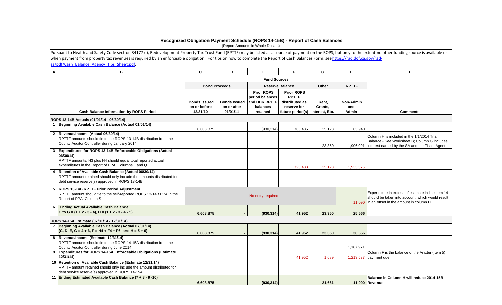#### **Recognized Obligation Payment Schedule (ROPS 14-15B) - Report of Cash Balances**

(Report Amounts in Whole Dollars)

|   | Pursuant to Health and Safety Code section 34177 (I), Redevelopment Property Tax Trust Fund (RPTTF) may be listed as a source of payment on the ROPS, but only to the extent no other funding source is available or |                                                 |                                                |                     |                                                                                                                                                                                          |                                                                                                                                                        |                           |                                                                                                                                              |  |  |  |  |  |  |  |
|---|----------------------------------------------------------------------------------------------------------------------------------------------------------------------------------------------------------------------|-------------------------------------------------|------------------------------------------------|---------------------|------------------------------------------------------------------------------------------------------------------------------------------------------------------------------------------|--------------------------------------------------------------------------------------------------------------------------------------------------------|---------------------------|----------------------------------------------------------------------------------------------------------------------------------------------|--|--|--|--|--|--|--|
|   | when payment from property tax revenues is required by an enforceable obligation. For tips on how to complete the Report of Cash Balances Form, see https://rad.dof.ca.gov/rad-                                      |                                                 |                                                |                     |                                                                                                                                                                                          |                                                                                                                                                        |                           |                                                                                                                                              |  |  |  |  |  |  |  |
|   | sa/pdf/Cash Balance Agency Tips Sheet.pdf.                                                                                                                                                                           |                                                 |                                                |                     |                                                                                                                                                                                          |                                                                                                                                                        |                           |                                                                                                                                              |  |  |  |  |  |  |  |
| A | B                                                                                                                                                                                                                    | C                                               | D                                              | E.                  | F.                                                                                                                                                                                       | G                                                                                                                                                      | H                         |                                                                                                                                              |  |  |  |  |  |  |  |
|   |                                                                                                                                                                                                                      |                                                 |                                                | <b>Fund Sources</b> |                                                                                                                                                                                          |                                                                                                                                                        |                           |                                                                                                                                              |  |  |  |  |  |  |  |
|   |                                                                                                                                                                                                                      |                                                 | <b>Bond Proceeds</b>                           |                     | <b>Reserve Balance</b>                                                                                                                                                                   | Other                                                                                                                                                  | <b>RPTTF</b>              |                                                                                                                                              |  |  |  |  |  |  |  |
|   | Cash Balance Information by ROPS Period                                                                                                                                                                              | <b>Bonds Issued</b><br>on or before<br>12/31/10 | <b>Bonds Issued</b><br>on or after<br>01/01/11 |                     | <b>Prior ROPS</b><br><b>Prior ROPS</b><br><b>RPTTF</b><br>period balances<br>and DDR RPTTF<br>distributed as<br>balances<br>reserve for<br>retained<br>future period(s)   Interest, Etc. |                                                                                                                                                        | Non-Admin<br>and<br>Admin | <b>Comments</b>                                                                                                                              |  |  |  |  |  |  |  |
|   | ROPS 13-14B Actuals (01/01/14 - 06/30/14)                                                                                                                                                                            |                                                 |                                                |                     |                                                                                                                                                                                          |                                                                                                                                                        |                           |                                                                                                                                              |  |  |  |  |  |  |  |
|   | 1 Beginning Available Cash Balance (Actual 01/01/14)                                                                                                                                                                 | 6,608,875                                       |                                                | (930, 314)          | 765,435                                                                                                                                                                                  | 25,123                                                                                                                                                 | 63,940                    |                                                                                                                                              |  |  |  |  |  |  |  |
|   | 2 Revenue/Income (Actual 06/30/14)<br>RPTTF amounts should tie to the ROPS 13-14B distribution from the<br>County Auditor-Controller during January 2014                                                             |                                                 |                                                |                     |                                                                                                                                                                                          | 23,350                                                                                                                                                 | 1,906,091                 | Column H is included in the 1/1/2014 Trial<br>Balance - See Worksheet B; Column G includes<br>interest earned by the SA and the Fiscal Agent |  |  |  |  |  |  |  |
|   | Expenditures for ROPS 13-14B Enforceable Obligations (Actual<br>06/30/14)<br>RPTTF amounts, H3 plus H4 should equal total reported actual<br>expenditures in the Report of PPA, Columns L and Q                      |                                                 |                                                |                     | 723,483                                                                                                                                                                                  | 25,123                                                                                                                                                 | 1,933,375                 |                                                                                                                                              |  |  |  |  |  |  |  |
| 4 | Retention of Available Cash Balance (Actual 06/30/14)<br>RPTTF amount retained should only include the amounts distributed for<br>debt service reserve(s) approved in ROPS 13-14B                                    |                                                 |                                                |                     |                                                                                                                                                                                          |                                                                                                                                                        |                           |                                                                                                                                              |  |  |  |  |  |  |  |
|   | 5 ROPS 13-14B RPTTF Prior Period Adjustment<br>RPTTF amount should tie to the self-reported ROPS 13-14B PPA in the<br>Report of PPA, Column S                                                                        |                                                 |                                                | No entry required   |                                                                                                                                                                                          | Expenditure in excess of estimate in line item 14<br>should be taken into account, which would result<br>11,090 in an offset in the amount in column H |                           |                                                                                                                                              |  |  |  |  |  |  |  |
|   | <b>Ending Actual Available Cash Balance</b><br>C to G = $(1 + 2 - 3 - 4)$ , H = $(1 + 2 - 3 - 4 - 5)$                                                                                                                | 6,608,875                                       |                                                | (930, 314)          | 41,952                                                                                                                                                                                   | 23,350                                                                                                                                                 | 25,566                    |                                                                                                                                              |  |  |  |  |  |  |  |
|   | ROPS 14-15A Estimate (07/01/14 - 12/31/14)                                                                                                                                                                           |                                                 |                                                |                     |                                                                                                                                                                                          |                                                                                                                                                        |                           |                                                                                                                                              |  |  |  |  |  |  |  |
|   | Beginning Available Cash Balance (Actual 07/01/14)                                                                                                                                                                   |                                                 |                                                |                     |                                                                                                                                                                                          |                                                                                                                                                        |                           |                                                                                                                                              |  |  |  |  |  |  |  |
|   | $(C, D, E, G = 4 + 6, F = H4 + F4 + F6, and H = 5 + 6)$                                                                                                                                                              | 6,608,875                                       |                                                | (930, 314)          | 41,952                                                                                                                                                                                   | 23,350                                                                                                                                                 | 36,656                    |                                                                                                                                              |  |  |  |  |  |  |  |
|   | 8 Revenue/Income (Estimate 12/31/14)<br>RPTTF amounts should tie to the ROPS 14-15A distribution from the<br>County Auditor-Controller during June 2014                                                              |                                                 |                                                |                     |                                                                                                                                                                                          |                                                                                                                                                        | 1,187,971                 |                                                                                                                                              |  |  |  |  |  |  |  |
|   | 9 Expenditures for ROPS 14-15A Enforceable Obligations (Estimate<br>12/31/14)                                                                                                                                        |                                                 |                                                |                     | 41,952                                                                                                                                                                                   | 1,689                                                                                                                                                  | 1,213,537                 | Column F is the balance of the Anixter (Item 5)<br>payment due                                                                               |  |  |  |  |  |  |  |
|   | 10 Retention of Available Cash Balance (Estimate 12/31/14)<br>RPTTF amount retained should only include the amount distributed for<br>debt service reserve(s) approved in ROPS 14-15A                                |                                                 |                                                |                     |                                                                                                                                                                                          |                                                                                                                                                        |                           |                                                                                                                                              |  |  |  |  |  |  |  |
|   | 11 Ending Estimated Available Cash Balance (7 + 8 - 9 -10)                                                                                                                                                           | 6,608,875                                       |                                                | (930, 314)          |                                                                                                                                                                                          | 21,661                                                                                                                                                 |                           | Balance in Column H will reduce 2014-15B<br>11,090 Revenue                                                                                   |  |  |  |  |  |  |  |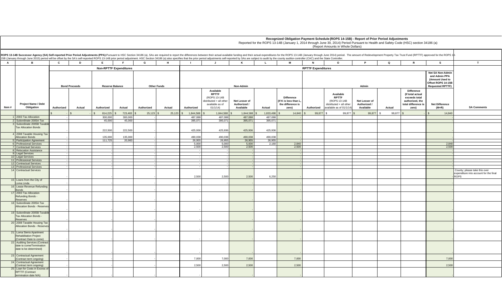|              |                                                                                                                                                                                                                                                                                                                                                                                                                                                                  |            |        |            |                                                            |            |        |                |                                                                                                     |                                            |           |                                                                         |                | Recognized Obligation Payment Schedule (ROPS 14-15B) - Report of Prior Period Adjustments<br>Reported for the ROPS 13-14B (January 1, 2014 through June 30, 2014) Period Pursuant to Health and Safety Code (HSC) section 34186 (a)<br>(Report Amounts in Whole Dollars) |                                            |             |                                                                                                           |                                  |                                                       |
|--------------|------------------------------------------------------------------------------------------------------------------------------------------------------------------------------------------------------------------------------------------------------------------------------------------------------------------------------------------------------------------------------------------------------------------------------------------------------------------|------------|--------|------------|------------------------------------------------------------|------------|--------|----------------|-----------------------------------------------------------------------------------------------------|--------------------------------------------|-----------|-------------------------------------------------------------------------|----------------|--------------------------------------------------------------------------------------------------------------------------------------------------------------------------------------------------------------------------------------------------------------------------|--------------------------------------------|-------------|-----------------------------------------------------------------------------------------------------------|----------------------------------|-------------------------------------------------------|
|              | ROPS 13-14B Successor Agency (SA) Self-reported Prior Period Adjustments (PPA):Pursuant to HSC Section 34186 (a), SAs are required to report the differences between their actual available funding and their actual expenditu<br>15B (January through June 2015) period will be offset by the SA's self-reported ROPS 13-14B prior period adjustment. HSC Section 34186 (a) also specifies that the prior period adjustments self-reported by SAs are subject t |            |        |            |                                                            |            |        |                |                                                                                                     |                                            |           |                                                                         |                |                                                                                                                                                                                                                                                                          |                                            |             |                                                                                                           |                                  |                                                       |
| $\mathbf{A}$ | в                                                                                                                                                                                                                                                                                                                                                                                                                                                                | C          | D      | E          |                                                            | G          | H      | $\blacksquare$ | $\mathbf{J}$                                                                                        | K                                          | <b>L</b>  | M                                                                       | $\overline{N}$ | $\circ$                                                                                                                                                                                                                                                                  | $\mathsf{P}$                               | $\mathbf Q$ | $\mathbb{R}$                                                                                              | <b>S</b>                         | $\mathbf{T}$                                          |
|              |                                                                                                                                                                                                                                                                                                                                                                                                                                                                  |            |        |            | <b>Non-RPTTF Expenditures</b><br><b>RPTTF Expenditures</b> |            |        |                |                                                                                                     |                                            |           |                                                                         |                |                                                                                                                                                                                                                                                                          |                                            |             |                                                                                                           |                                  |                                                       |
|              | <b>Bond Proceeds</b><br><b>Reserve Balance</b><br><b>Other Funds</b>                                                                                                                                                                                                                                                                                                                                                                                             |            |        |            |                                                            |            |        |                | Non-Admin                                                                                           |                                            |           |                                                                         |                | Net SA Non-Admin<br>and Admin PPA<br>(Amount Used to<br>Offset ROPS 14-15B<br><b>Requested RPTTF)</b>                                                                                                                                                                    |                                            |             |                                                                                                           |                                  |                                                       |
| Item #       | <b>Project Name / Debt</b><br>Obligation                                                                                                                                                                                                                                                                                                                                                                                                                         | Authorized | Actual | Authorized | Actual                                                     | Authorized | Actual | Authorized     | Available<br><b>RPTTF</b><br>(ROPS 13-14B<br>distributed + all other<br>available as of<br>01/1/14) | Net Lesser of<br>Authorized /<br>Available | Actual    | <b>Difference</b><br>If K is less than L.<br>the difference is<br>zero) | Authorized     | Available<br><b>RPTTF</b><br>(ROPS 13-14B)<br>distributed + all other<br>available as of 01/1/14)                                                                                                                                                                        | Net Lesser of<br>Authorized /<br>Available | Actual      | <b>Difference</b><br>(If total actual<br>exceeds total<br>authorized, the<br>total difference is<br>zero) | <b>Net Difference</b><br>$(M+R)$ | <b>SA Comments</b>                                    |
|              |                                                                                                                                                                                                                                                                                                                                                                                                                                                                  |            |        | 814,225    | 723,483                                                    | 25,123     | 25,123 | 1,844,588      | 1,844,588                                                                                           | 1,844,588                                  | 1,833,498 | 14,840                                                                  | 99,877         | 99,877                                                                                                                                                                                                                                                                   | 99,877                                     | 99,877      |                                                                                                           | 14,840                           |                                                       |
|              | 2003 Tax Allocation                                                                                                                                                                                                                                                                                                                                                                                                                                              |            |        | 300,000    | 300,000                                                    |            |        | 487.088        | 487.088                                                                                             | 487.088                                    | 487,088   |                                                                         |                |                                                                                                                                                                                                                                                                          |                                            |             |                                                                                                           |                                  |                                                       |
|              | 2 Subordinate 2005A Tax                                                                                                                                                                                                                                                                                                                                                                                                                                          |            |        | 45,000     | 45,000                                                     |            |        | 395,071        | 395,071                                                                                             | 395,071                                    | 395,071   |                                                                         |                |                                                                                                                                                                                                                                                                          |                                            |             |                                                                                                           |                                  |                                                       |
|              | 3 Subordinate 2005B Taxable<br><b>Tax Allocation Bonds</b>                                                                                                                                                                                                                                                                                                                                                                                                       |            |        | 222,500    | 222,500                                                    |            |        | 425.936        | 425,936                                                                                             | 425.936                                    | 425,936   |                                                                         |                |                                                                                                                                                                                                                                                                          |                                            |             |                                                                                                           |                                  |                                                       |
|              | 4 2008 Taxable Housing Tax<br><b>Allocation Bonds</b>                                                                                                                                                                                                                                                                                                                                                                                                            |            |        | 135,000    | 135,000                                                    |            |        | 490.038        | 490.038                                                                                             | 490.038                                    | 490.038   |                                                                         |                |                                                                                                                                                                                                                                                                          |                                            |             |                                                                                                           |                                  |                                                       |
|              | 5 Participation Agreement                                                                                                                                                                                                                                                                                                                                                                                                                                        |            |        | 111.725    | 20.983                                                     |            |        | 26,955         | 26,955                                                                                              | 26.955                                     | 26.955    |                                                                         |                |                                                                                                                                                                                                                                                                          |                                            |             |                                                                                                           |                                  |                                                       |
|              | 6 Professional Services                                                                                                                                                                                                                                                                                                                                                                                                                                          |            |        |            |                                                            |            |        | 5,000          | 5,000                                                                                               | 5,000                                      | 2.160     | 2.840                                                                   |                |                                                                                                                                                                                                                                                                          |                                            |             |                                                                                                           | 2.840                            |                                                       |
|              | 7 Contractual Services                                                                                                                                                                                                                                                                                                                                                                                                                                           |            |        |            |                                                            |            |        | 2,500          | 2,500                                                                                               | 2.500                                      |           | 2,500                                                                   |                |                                                                                                                                                                                                                                                                          |                                            |             |                                                                                                           | 2.500                            |                                                       |
|              | 8 Relocation Assistance<br>9 Legal Services                                                                                                                                                                                                                                                                                                                                                                                                                      |            |        |            |                                                            |            |        |                |                                                                                                     |                                            |           |                                                                         |                |                                                                                                                                                                                                                                                                          |                                            |             |                                                                                                           |                                  |                                                       |
|              | 10 Legal Services                                                                                                                                                                                                                                                                                                                                                                                                                                                |            |        |            |                                                            |            |        |                |                                                                                                     |                                            |           |                                                                         |                |                                                                                                                                                                                                                                                                          |                                            |             |                                                                                                           |                                  |                                                       |
|              | 11 Professional Services                                                                                                                                                                                                                                                                                                                                                                                                                                         |            |        |            |                                                            |            |        |                |                                                                                                     |                                            |           |                                                                         |                |                                                                                                                                                                                                                                                                          |                                            |             |                                                                                                           |                                  |                                                       |
|              | 12 Contractual Services                                                                                                                                                                                                                                                                                                                                                                                                                                          |            |        |            |                                                            |            |        |                |                                                                                                     |                                            |           |                                                                         |                |                                                                                                                                                                                                                                                                          |                                            |             |                                                                                                           |                                  |                                                       |
|              | 13 Professional Services<br>14 Contractual Services                                                                                                                                                                                                                                                                                                                                                                                                              |            |        |            |                                                            |            |        |                |                                                                                                     |                                            |           |                                                                         |                |                                                                                                                                                                                                                                                                          |                                            |             |                                                                                                           |                                  | County; please take this over                         |
|              |                                                                                                                                                                                                                                                                                                                                                                                                                                                                  |            |        |            |                                                            |            |        | 2,500          | 2,500                                                                                               | 2,500                                      | 6,250     |                                                                         |                |                                                                                                                                                                                                                                                                          |                                            |             |                                                                                                           |                                  | expenditure into account for the final<br><b>ROPS</b> |
|              | 15 Loans from the City of<br>Loma Linda                                                                                                                                                                                                                                                                                                                                                                                                                          |            |        |            |                                                            |            |        |                |                                                                                                     |                                            |           |                                                                         |                |                                                                                                                                                                                                                                                                          |                                            |             |                                                                                                           |                                  |                                                       |
|              | 16 Lease Revenue Refunding                                                                                                                                                                                                                                                                                                                                                                                                                                       |            |        |            |                                                            |            |        |                |                                                                                                     |                                            |           |                                                                         |                |                                                                                                                                                                                                                                                                          |                                            |             |                                                                                                           |                                  |                                                       |
|              | <b>Bonds</b><br>17 2003 Tax Allocation                                                                                                                                                                                                                                                                                                                                                                                                                           |            |        |            |                                                            |            |        |                |                                                                                                     |                                            |           |                                                                         |                |                                                                                                                                                                                                                                                                          |                                            |             |                                                                                                           |                                  |                                                       |
|              | Refunding Bonds -<br><b>Reserves</b>                                                                                                                                                                                                                                                                                                                                                                                                                             |            |        |            |                                                            |            |        |                |                                                                                                     |                                            |           |                                                                         |                |                                                                                                                                                                                                                                                                          |                                            |             |                                                                                                           |                                  |                                                       |
|              | 18 Subordinate 2005A Tax<br>Allocation Bonds - Reserves                                                                                                                                                                                                                                                                                                                                                                                                          |            |        |            |                                                            |            |        |                |                                                                                                     |                                            |           |                                                                         |                |                                                                                                                                                                                                                                                                          |                                            |             |                                                                                                           |                                  |                                                       |
|              | 19 Subordinate 2005B Taxable<br><b>Tax Allocation Bonds -</b>                                                                                                                                                                                                                                                                                                                                                                                                    |            |        |            |                                                            |            |        |                |                                                                                                     |                                            |           |                                                                         |                |                                                                                                                                                                                                                                                                          |                                            |             |                                                                                                           |                                  |                                                       |
|              | Reserves<br>20 2008 Taxable Housing Tax<br><b>Allocation Bonds - Reserves</b>                                                                                                                                                                                                                                                                                                                                                                                    |            |        |            |                                                            |            |        |                |                                                                                                     |                                            |           |                                                                         |                |                                                                                                                                                                                                                                                                          |                                            |             |                                                                                                           |                                  |                                                       |
|              | 21 Loma Sierra Apartment<br><b>Rehabilitation Project</b>                                                                                                                                                                                                                                                                                                                                                                                                        |            |        |            |                                                            |            |        |                |                                                                                                     |                                            |           |                                                                         |                |                                                                                                                                                                                                                                                                          |                                            |             |                                                                                                           |                                  |                                                       |
|              | (Contract Date to come)                                                                                                                                                                                                                                                                                                                                                                                                                                          |            |        |            |                                                            |            |        |                |                                                                                                     |                                            |           |                                                                         |                |                                                                                                                                                                                                                                                                          |                                            |             |                                                                                                           |                                  |                                                       |
|              | 22 Auditing Services (Contract<br>date to come/Termination<br>date to be determined)                                                                                                                                                                                                                                                                                                                                                                             |            |        |            |                                                            |            |        |                |                                                                                                     |                                            |           |                                                                         |                |                                                                                                                                                                                                                                                                          |                                            |             |                                                                                                           |                                  |                                                       |
|              | 23 Contractual Agreement                                                                                                                                                                                                                                                                                                                                                                                                                                         |            |        |            |                                                            |            |        | 7,000          | 7,000                                                                                               | 7,000                                      |           | 7,000                                                                   |                |                                                                                                                                                                                                                                                                          |                                            |             |                                                                                                           | 7,000                            |                                                       |
|              | (Contract term ongoing)<br>24 Contractual Agreement                                                                                                                                                                                                                                                                                                                                                                                                              |            |        |            |                                                            |            |        |                |                                                                                                     |                                            |           |                                                                         |                |                                                                                                                                                                                                                                                                          |                                            |             |                                                                                                           |                                  |                                                       |
|              | (Contract term ongoing)<br>25 Loan for Costs in Excess of                                                                                                                                                                                                                                                                                                                                                                                                        |            |        |            |                                                            |            |        | 2,500          | 2,500                                                                                               | 2,500                                      |           | 2,500                                                                   |                |                                                                                                                                                                                                                                                                          |                                            |             |                                                                                                           | 2,500                            |                                                       |
|              | <b>RPTTF (Contract</b><br>termination date N/A)                                                                                                                                                                                                                                                                                                                                                                                                                  |            |        |            |                                                            |            |        |                |                                                                                                     |                                            |           |                                                                         |                |                                                                                                                                                                                                                                                                          |                                            |             |                                                                                                           |                                  |                                                       |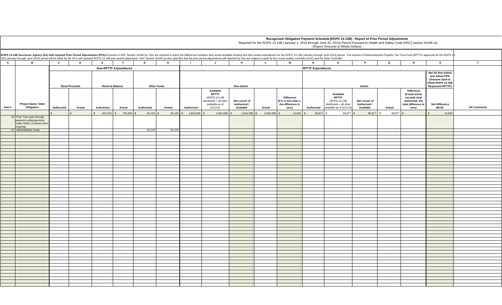|              |                                                                                                                                                                                                                                                                                                                                                                                                                                                                  | Recognized Obligation Payment Schedule (ROPS 14-15B) - Report of Prior Period Adjustments<br>Reported for the ROPS 13-14B (January 1, 2014 through June 30, 2014) Period Pursuant to Health and Safety Code (HSC) section 34186 (a)<br>(Report Amounts in Whole Dollars) |              |                               |                         |            |        |                |                                                                                                     |                                            |           |                                                                         |                                                                                                       |                                                                                                  |                                            |                    |                                                                                                           |                                  |                    |
|--------------|------------------------------------------------------------------------------------------------------------------------------------------------------------------------------------------------------------------------------------------------------------------------------------------------------------------------------------------------------------------------------------------------------------------------------------------------------------------|--------------------------------------------------------------------------------------------------------------------------------------------------------------------------------------------------------------------------------------------------------------------------|--------------|-------------------------------|-------------------------|------------|--------|----------------|-----------------------------------------------------------------------------------------------------|--------------------------------------------|-----------|-------------------------------------------------------------------------|-------------------------------------------------------------------------------------------------------|--------------------------------------------------------------------------------------------------|--------------------------------------------|--------------------|-----------------------------------------------------------------------------------------------------------|----------------------------------|--------------------|
|              | ROPS 13-14B Successor Agency (SA) Self-reported Prior Period Adjustments (PPA):Pursuant to HSC Section 34186 (a), SAs are required to report the differences between their actual available funding and their actual expenditu<br>15B (January through June 2015) period will be offset by the SA's self-reported ROPS 13-14B prior period adjustment. HSC Section 34186 (a) also specifies that the prior period adjustments self-reported by SAs are subject t |                                                                                                                                                                                                                                                                          |              |                               |                         |            |        |                |                                                                                                     |                                            |           |                                                                         |                                                                                                       |                                                                                                  |                                            |                    |                                                                                                           |                                  |                    |
| $\mathbf{A}$ | в                                                                                                                                                                                                                                                                                                                                                                                                                                                                | C                                                                                                                                                                                                                                                                        | $\mathbf{D}$ | E                             | <b>F</b>                | G          | H      | $\blacksquare$ | $\mathsf{J}$                                                                                        | K                                          | L.        | M                                                                       | N                                                                                                     | $\circ$                                                                                          | $\mathsf{P}$                               | $\mathbf Q$        | R                                                                                                         | <b>S</b>                         | T                  |
|              |                                                                                                                                                                                                                                                                                                                                                                                                                                                                  |                                                                                                                                                                                                                                                                          |              | <b>Non-RPTTF Expenditures</b> |                         |            |        |                |                                                                                                     |                                            |           |                                                                         |                                                                                                       |                                                                                                  |                                            |                    |                                                                                                           |                                  |                    |
|              | <b>Bond Proceeds</b><br><b>Reserve Balance</b><br><b>Other Funds</b>                                                                                                                                                                                                                                                                                                                                                                                             |                                                                                                                                                                                                                                                                          |              |                               |                         |            |        | Non-Admin      |                                                                                                     |                                            |           |                                                                         | Net SA Non-Admin<br>and Admin PPA<br>(Amount Used to<br>Offset ROPS 14-15B<br><b>Requested RPTTF)</b> |                                                                                                  |                                            |                    |                                                                                                           |                                  |                    |
| Item#        | Project Name / Debt<br>Obligation                                                                                                                                                                                                                                                                                                                                                                                                                                | Authorized                                                                                                                                                                                                                                                               | Actual       | Authorized                    | Actual                  | Authorized | Actual | Authorized     | Available<br><b>RPTTF</b><br>(ROPS 13-14B)<br>distributed + all other<br>available as of<br>01/1/14 | Net Lesser of<br>Authorized /<br>Available | Actual    | <b>Difference</b><br>(If K is less than L<br>the difference is<br>zero) | Authorized                                                                                            | Available<br><b>RPTTF</b><br>(ROPS 13-14B<br>distributed + all other<br>available as of 01/1/14) | Net Lesser of<br>Authorized /<br>Available | Actual             | <b>Difference</b><br>(If total actual<br>exceeds total<br>authorized, the<br>total difference is<br>zero) | <b>Net Difference</b><br>$(M+R)$ | <b>SA Comments</b> |
|              |                                                                                                                                                                                                                                                                                                                                                                                                                                                                  |                                                                                                                                                                                                                                                                          |              | 814,225                       | 723,483<br>$\mathbb{S}$ | 25,123     | 25,123 | 1,844,588      | 1,844,588                                                                                           | 1,844,588                                  | 1,833,498 | 14,840                                                                  | 99,877 \$<br>\$                                                                                       | 99,877                                                                                           | 99,877                                     | 99,877<br><b>S</b> |                                                                                                           | 14,840                           |                    |
|              | 26 Prior Year pass through<br>payment underpayments<br>under 33401 (Contract term<br>ongoing)                                                                                                                                                                                                                                                                                                                                                                    |                                                                                                                                                                                                                                                                          |              |                               |                         |            |        |                |                                                                                                     |                                            |           |                                                                         |                                                                                                       |                                                                                                  |                                            |                    |                                                                                                           |                                  |                    |
|              | 27 Adminstrative Costs                                                                                                                                                                                                                                                                                                                                                                                                                                           |                                                                                                                                                                                                                                                                          |              |                               |                         | 25,123     | 25,123 |                |                                                                                                     |                                            |           |                                                                         |                                                                                                       |                                                                                                  |                                            |                    |                                                                                                           |                                  |                    |
|              |                                                                                                                                                                                                                                                                                                                                                                                                                                                                  |                                                                                                                                                                                                                                                                          |              |                               |                         |            |        |                |                                                                                                     |                                            |           |                                                                         |                                                                                                       |                                                                                                  |                                            |                    |                                                                                                           |                                  |                    |
|              |                                                                                                                                                                                                                                                                                                                                                                                                                                                                  |                                                                                                                                                                                                                                                                          |              |                               |                         |            |        |                |                                                                                                     |                                            |           |                                                                         |                                                                                                       |                                                                                                  |                                            |                    |                                                                                                           |                                  |                    |
|              |                                                                                                                                                                                                                                                                                                                                                                                                                                                                  |                                                                                                                                                                                                                                                                          |              |                               |                         |            |        |                |                                                                                                     |                                            |           |                                                                         |                                                                                                       |                                                                                                  |                                            |                    |                                                                                                           |                                  |                    |
|              |                                                                                                                                                                                                                                                                                                                                                                                                                                                                  |                                                                                                                                                                                                                                                                          |              |                               |                         |            |        |                |                                                                                                     |                                            |           |                                                                         |                                                                                                       |                                                                                                  |                                            |                    |                                                                                                           |                                  |                    |
|              |                                                                                                                                                                                                                                                                                                                                                                                                                                                                  |                                                                                                                                                                                                                                                                          |              |                               |                         |            |        |                |                                                                                                     |                                            |           |                                                                         |                                                                                                       |                                                                                                  |                                            |                    |                                                                                                           |                                  |                    |
|              |                                                                                                                                                                                                                                                                                                                                                                                                                                                                  |                                                                                                                                                                                                                                                                          |              |                               |                         |            |        |                |                                                                                                     |                                            |           |                                                                         |                                                                                                       |                                                                                                  |                                            |                    |                                                                                                           |                                  |                    |
|              |                                                                                                                                                                                                                                                                                                                                                                                                                                                                  |                                                                                                                                                                                                                                                                          |              |                               |                         |            |        |                |                                                                                                     |                                            |           |                                                                         |                                                                                                       |                                                                                                  |                                            |                    |                                                                                                           |                                  |                    |
|              |                                                                                                                                                                                                                                                                                                                                                                                                                                                                  |                                                                                                                                                                                                                                                                          |              |                               |                         |            |        |                |                                                                                                     |                                            |           |                                                                         |                                                                                                       |                                                                                                  |                                            |                    |                                                                                                           |                                  |                    |
|              |                                                                                                                                                                                                                                                                                                                                                                                                                                                                  |                                                                                                                                                                                                                                                                          |              |                               |                         |            |        |                |                                                                                                     |                                            |           |                                                                         |                                                                                                       |                                                                                                  |                                            |                    |                                                                                                           |                                  |                    |
|              |                                                                                                                                                                                                                                                                                                                                                                                                                                                                  |                                                                                                                                                                                                                                                                          |              |                               |                         |            |        |                |                                                                                                     |                                            |           |                                                                         |                                                                                                       |                                                                                                  |                                            |                    |                                                                                                           |                                  |                    |
|              |                                                                                                                                                                                                                                                                                                                                                                                                                                                                  |                                                                                                                                                                                                                                                                          |              |                               |                         |            |        |                |                                                                                                     |                                            |           |                                                                         |                                                                                                       |                                                                                                  |                                            |                    |                                                                                                           |                                  |                    |
|              |                                                                                                                                                                                                                                                                                                                                                                                                                                                                  |                                                                                                                                                                                                                                                                          |              |                               |                         |            |        |                |                                                                                                     |                                            |           |                                                                         |                                                                                                       |                                                                                                  |                                            |                    |                                                                                                           |                                  |                    |
|              |                                                                                                                                                                                                                                                                                                                                                                                                                                                                  |                                                                                                                                                                                                                                                                          |              |                               |                         |            |        |                |                                                                                                     |                                            |           |                                                                         |                                                                                                       |                                                                                                  |                                            |                    |                                                                                                           |                                  |                    |
|              |                                                                                                                                                                                                                                                                                                                                                                                                                                                                  |                                                                                                                                                                                                                                                                          |              |                               |                         |            |        |                |                                                                                                     |                                            |           |                                                                         |                                                                                                       |                                                                                                  |                                            |                    |                                                                                                           |                                  |                    |
|              |                                                                                                                                                                                                                                                                                                                                                                                                                                                                  |                                                                                                                                                                                                                                                                          |              |                               |                         |            |        |                |                                                                                                     |                                            |           |                                                                         |                                                                                                       |                                                                                                  |                                            |                    |                                                                                                           |                                  |                    |
|              |                                                                                                                                                                                                                                                                                                                                                                                                                                                                  |                                                                                                                                                                                                                                                                          |              |                               |                         |            |        |                |                                                                                                     |                                            |           |                                                                         |                                                                                                       |                                                                                                  |                                            |                    |                                                                                                           |                                  |                    |
|              |                                                                                                                                                                                                                                                                                                                                                                                                                                                                  |                                                                                                                                                                                                                                                                          |              |                               |                         |            |        |                |                                                                                                     |                                            |           |                                                                         |                                                                                                       |                                                                                                  |                                            |                    |                                                                                                           |                                  |                    |
|              |                                                                                                                                                                                                                                                                                                                                                                                                                                                                  |                                                                                                                                                                                                                                                                          |              |                               |                         |            |        |                |                                                                                                     |                                            |           |                                                                         |                                                                                                       |                                                                                                  |                                            |                    |                                                                                                           |                                  |                    |
|              |                                                                                                                                                                                                                                                                                                                                                                                                                                                                  |                                                                                                                                                                                                                                                                          |              |                               |                         |            |        |                |                                                                                                     |                                            |           |                                                                         |                                                                                                       |                                                                                                  |                                            |                    |                                                                                                           |                                  |                    |
|              |                                                                                                                                                                                                                                                                                                                                                                                                                                                                  |                                                                                                                                                                                                                                                                          |              |                               |                         |            |        |                |                                                                                                     |                                            |           |                                                                         |                                                                                                       |                                                                                                  |                                            |                    |                                                                                                           |                                  |                    |
|              |                                                                                                                                                                                                                                                                                                                                                                                                                                                                  |                                                                                                                                                                                                                                                                          |              |                               |                         |            |        |                |                                                                                                     |                                            |           |                                                                         |                                                                                                       |                                                                                                  |                                            |                    |                                                                                                           |                                  |                    |
|              |                                                                                                                                                                                                                                                                                                                                                                                                                                                                  |                                                                                                                                                                                                                                                                          |              |                               |                         |            |        |                |                                                                                                     |                                            |           |                                                                         |                                                                                                       |                                                                                                  |                                            |                    |                                                                                                           |                                  |                    |
|              |                                                                                                                                                                                                                                                                                                                                                                                                                                                                  |                                                                                                                                                                                                                                                                          |              |                               |                         |            |        |                |                                                                                                     |                                            |           |                                                                         |                                                                                                       |                                                                                                  |                                            |                    |                                                                                                           |                                  |                    |
|              |                                                                                                                                                                                                                                                                                                                                                                                                                                                                  |                                                                                                                                                                                                                                                                          |              |                               |                         |            |        |                |                                                                                                     |                                            |           |                                                                         |                                                                                                       |                                                                                                  |                                            |                    |                                                                                                           |                                  |                    |
|              |                                                                                                                                                                                                                                                                                                                                                                                                                                                                  |                                                                                                                                                                                                                                                                          |              |                               |                         |            |        |                |                                                                                                     |                                            |           |                                                                         |                                                                                                       |                                                                                                  |                                            |                    |                                                                                                           |                                  |                    |
|              |                                                                                                                                                                                                                                                                                                                                                                                                                                                                  |                                                                                                                                                                                                                                                                          |              |                               |                         |            |        |                |                                                                                                     |                                            |           |                                                                         |                                                                                                       |                                                                                                  |                                            |                    |                                                                                                           |                                  |                    |
|              |                                                                                                                                                                                                                                                                                                                                                                                                                                                                  |                                                                                                                                                                                                                                                                          |              |                               |                         |            |        |                |                                                                                                     |                                            |           |                                                                         |                                                                                                       |                                                                                                  |                                            |                    |                                                                                                           |                                  |                    |
|              |                                                                                                                                                                                                                                                                                                                                                                                                                                                                  |                                                                                                                                                                                                                                                                          |              |                               |                         |            |        |                |                                                                                                     |                                            |           |                                                                         |                                                                                                       |                                                                                                  |                                            |                    |                                                                                                           |                                  |                    |
|              |                                                                                                                                                                                                                                                                                                                                                                                                                                                                  |                                                                                                                                                                                                                                                                          |              |                               |                         |            |        |                |                                                                                                     |                                            |           |                                                                         |                                                                                                       |                                                                                                  |                                            |                    |                                                                                                           |                                  |                    |
|              |                                                                                                                                                                                                                                                                                                                                                                                                                                                                  |                                                                                                                                                                                                                                                                          |              |                               |                         |            |        |                |                                                                                                     |                                            |           |                                                                         |                                                                                                       |                                                                                                  |                                            |                    |                                                                                                           |                                  |                    |
|              |                                                                                                                                                                                                                                                                                                                                                                                                                                                                  |                                                                                                                                                                                                                                                                          |              |                               |                         |            |        |                |                                                                                                     |                                            |           |                                                                         |                                                                                                       |                                                                                                  |                                            |                    |                                                                                                           |                                  |                    |
|              |                                                                                                                                                                                                                                                                                                                                                                                                                                                                  |                                                                                                                                                                                                                                                                          |              |                               |                         |            |        |                |                                                                                                     |                                            |           |                                                                         |                                                                                                       |                                                                                                  |                                            |                    |                                                                                                           |                                  |                    |
|              |                                                                                                                                                                                                                                                                                                                                                                                                                                                                  |                                                                                                                                                                                                                                                                          |              |                               |                         |            |        |                |                                                                                                     |                                            |           |                                                                         |                                                                                                       |                                                                                                  |                                            |                    |                                                                                                           |                                  |                    |
|              |                                                                                                                                                                                                                                                                                                                                                                                                                                                                  |                                                                                                                                                                                                                                                                          |              |                               |                         |            |        |                |                                                                                                     |                                            |           |                                                                         |                                                                                                       |                                                                                                  |                                            |                    |                                                                                                           |                                  |                    |
|              |                                                                                                                                                                                                                                                                                                                                                                                                                                                                  |                                                                                                                                                                                                                                                                          |              |                               |                         |            |        |                |                                                                                                     |                                            |           |                                                                         |                                                                                                       |                                                                                                  |                                            |                    |                                                                                                           |                                  |                    |
|              |                                                                                                                                                                                                                                                                                                                                                                                                                                                                  |                                                                                                                                                                                                                                                                          |              |                               |                         |            |        |                |                                                                                                     |                                            |           |                                                                         |                                                                                                       |                                                                                                  |                                            |                    |                                                                                                           |                                  |                    |
|              |                                                                                                                                                                                                                                                                                                                                                                                                                                                                  |                                                                                                                                                                                                                                                                          |              |                               |                         |            |        |                |                                                                                                     |                                            |           |                                                                         |                                                                                                       |                                                                                                  |                                            |                    |                                                                                                           |                                  |                    |